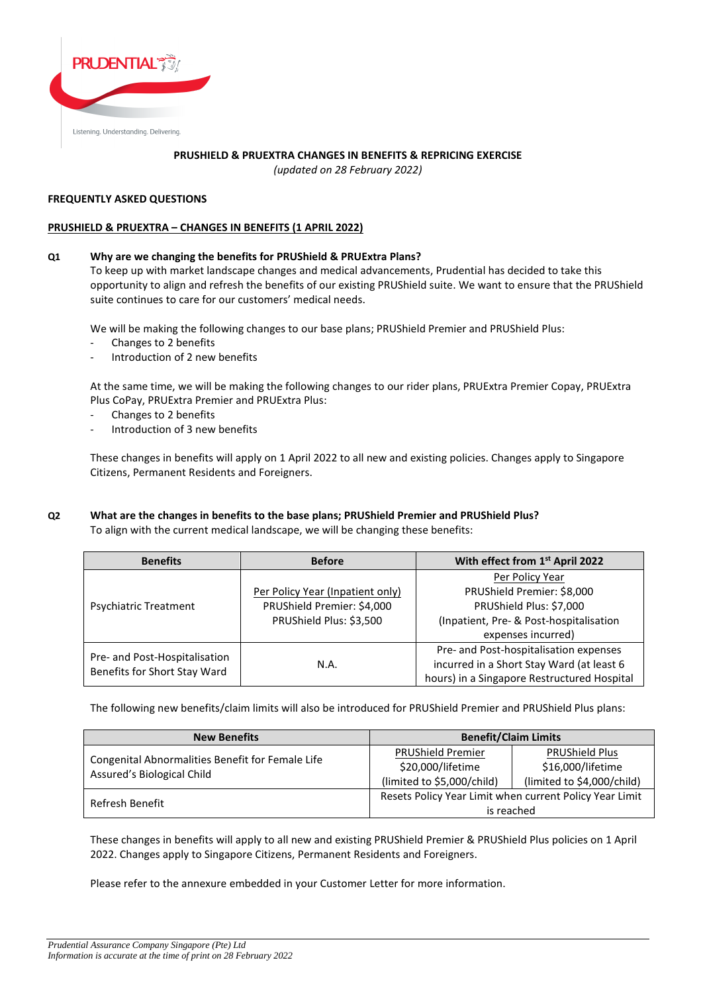

## **PRUSHIELD & PRUEXTRA CHANGES IN BENEFITS & REPRICING EXERCISE**

*(updated on 28 February 2022)*

## **FREQUENTLY ASKED QUESTIONS**

## **PRUSHIELD & PRUEXTRA – CHANGES IN BENEFITS (1 APRIL 2022)**

## **Q1 Why are we changing the benefits for PRUShield & PRUExtra Plans?**

To keep up with market landscape changes and medical advancements, Prudential has decided to take this opportunity to align and refresh the benefits of our existing PRUShield suite. We want to ensure that the PRUShield suite continues to care for our customers' medical needs.

We will be making the following changes to our base plans; PRUShield Premier and PRUShield Plus:

- Changes to 2 benefits
- Introduction of 2 new benefits

At the same time, we will be making the following changes to our rider plans, PRUExtra Premier Copay, PRUExtra Plus CoPay, PRUExtra Premier and PRUExtra Plus:

- Changes to 2 benefits
- Introduction of 3 new benefits

These changes in benefits will apply on 1 April 2022 to all new and existing policies. Changes apply to Singapore Citizens, Permanent Residents and Foreigners.

## **Q2 What are the changes in benefits to the base plans; PRUShield Premier and PRUShield Plus?** To align with the current medical landscape, we will be changing these benefits:

| <b>Benefits</b>                                               | <b>Before</b>                                                                             | With effect from 1st April 2022                                                                                                           |
|---------------------------------------------------------------|-------------------------------------------------------------------------------------------|-------------------------------------------------------------------------------------------------------------------------------------------|
| <b>Psychiatric Treatment</b>                                  | Per Policy Year (Inpatient only)<br>PRUShield Premier: \$4,000<br>PRUShield Plus: \$3,500 | Per Policy Year<br>PRUShield Premier: \$8,000<br>PRUShield Plus: \$7,000<br>(Inpatient, Pre- & Post-hospitalisation<br>expenses incurred) |
| Pre- and Post-Hospitalisation<br>Benefits for Short Stay Ward | N.A.                                                                                      | Pre- and Post-hospitalisation expenses<br>incurred in a Short Stay Ward (at least 6<br>hours) in a Singapore Restructured Hospital        |

The following new benefits/claim limits will also be introduced for PRUShield Premier and PRUShield Plus plans:

| <b>New Benefits</b>                              |                                                         | <b>Benefit/Claim Limits</b>                |
|--------------------------------------------------|---------------------------------------------------------|--------------------------------------------|
| Congenital Abnormalities Benefit for Female Life | <b>PRUShield Premier</b><br>\$20,000/lifetime           | <b>PRUShield Plus</b><br>\$16,000/lifetime |
| Assured's Biological Child                       | (limited to \$5,000/child)                              | (limited to \$4,000/child)                 |
| Refresh Benefit                                  | Resets Policy Year Limit when current Policy Year Limit |                                            |
|                                                  |                                                         | is reached                                 |

These changes in benefits will apply to all new and existing PRUShield Premier & PRUShield Plus policies on 1 April 2022. Changes apply to Singapore Citizens, Permanent Residents and Foreigners.

Please refer to the annexure embedded in your Customer Letter for more information.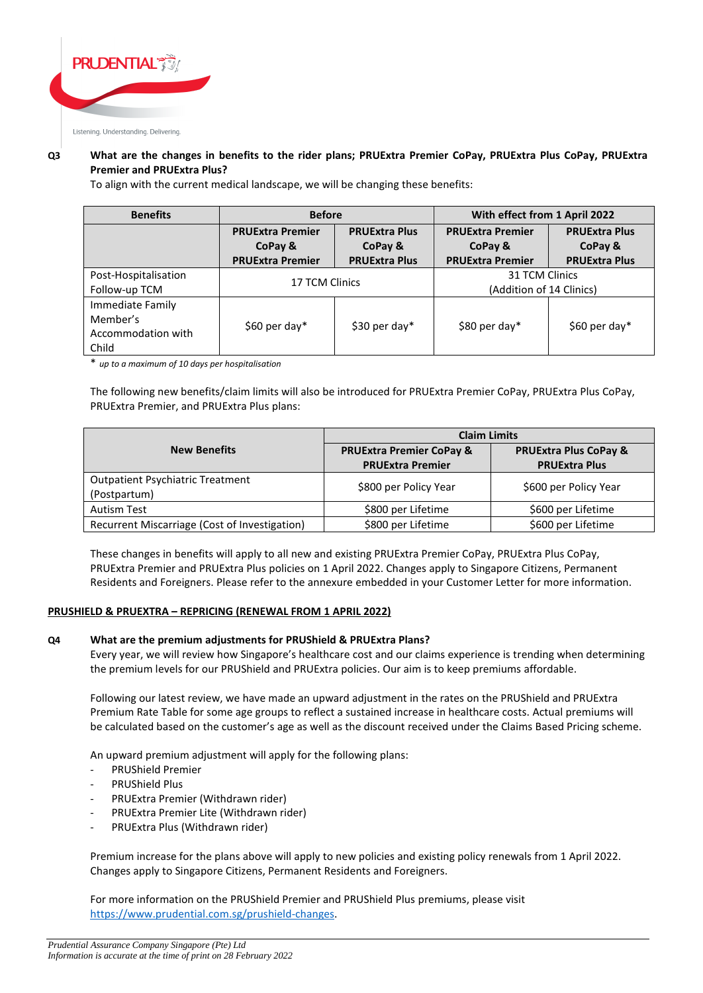

#### Listening. Understanding. Delivering.

# **Q3 What are the changes in benefits to the rider plans; PRUExtra Premier CoPay, PRUExtra Plus CoPay, PRUExtra Premier and PRUExtra Plus?**

To align with the current medical landscape, we will be changing these benefits:

| <b>Benefits</b>      | <b>Before</b>           |                      | With effect from 1 April 2022 |                      |
|----------------------|-------------------------|----------------------|-------------------------------|----------------------|
|                      | <b>PRUExtra Premier</b> | <b>PRUExtra Plus</b> | <b>PRUExtra Premier</b>       | <b>PRUExtra Plus</b> |
|                      | CoPay &                 | CoPay &              | CoPay &                       | CoPay &              |
|                      | <b>PRUExtra Premier</b> | <b>PRUExtra Plus</b> | <b>PRUExtra Premier</b>       | <b>PRUExtra Plus</b> |
| Post-Hospitalisation | 17 TCM Clinics          |                      | 31 TCM Clinics                |                      |
| Follow-up TCM        |                         |                      | (Addition of 14 Clinics)      |                      |
| Immediate Family     |                         |                      |                               |                      |
| Member's             | \$60 per day*           | \$30 per day*        | \$80 per day*                 | \$60 per day*        |
| Accommodation with   |                         |                      |                               |                      |
| Child                |                         |                      |                               |                      |

\* *up to a maximum of 10 days per hospitalisation*

The following new benefits/claim limits will also be introduced for PRUExtra Premier CoPay, PRUExtra Plus CoPay, PRUExtra Premier, and PRUExtra Plus plans:

|                                                         | <b>Claim Limits</b>                                            |                                                          |  |
|---------------------------------------------------------|----------------------------------------------------------------|----------------------------------------------------------|--|
| <b>New Benefits</b>                                     | <b>PRUExtra Premier CoPay &amp;</b><br><b>PRUExtra Premier</b> | <b>PRUExtra Plus CoPay &amp;</b><br><b>PRUExtra Plus</b> |  |
| <b>Outpatient Psychiatric Treatment</b><br>(Postpartum) | \$800 per Policy Year                                          | \$600 per Policy Year                                    |  |
| <b>Autism Test</b>                                      | \$800 per Lifetime                                             | \$600 per Lifetime                                       |  |
| Recurrent Miscarriage (Cost of Investigation)           | \$800 per Lifetime                                             | \$600 per Lifetime                                       |  |

These changes in benefits will apply to all new and existing PRUExtra Premier CoPay, PRUExtra Plus CoPay, PRUExtra Premier and PRUExtra Plus policies on 1 April 2022. Changes apply to Singapore Citizens, Permanent Residents and Foreigners. Please refer to the annexure embedded in your Customer Letter for more information.

## **PRUSHIELD & PRUEXTRA – REPRICING (RENEWAL FROM 1 APRIL 2022)**

## **Q4 What are the premium adjustments for PRUShield & PRUExtra Plans?**

Every year, we will review how Singapore's healthcare cost and our claims experience is trending when determining the premium levels for our PRUShield and PRUExtra policies. Our aim is to keep premiums affordable.

Following our latest review, we have made an upward adjustment in the rates on the PRUShield and PRUExtra Premium Rate Table for some age groups to reflect a sustained increase in healthcare costs. Actual premiums will be calculated based on the customer's age as well as the discount received under the Claims Based Pricing scheme.

An upward premium adjustment will apply for the following plans:

- PRUShield Premier
- PRUShield Plus
- PRUExtra Premier (Withdrawn rider)
- PRUExtra Premier Lite (Withdrawn rider)
- PRUExtra Plus (Withdrawn rider)

Premium increase for the plans above will apply to new policies and existing policy renewals from 1 April 2022. Changes apply to Singapore Citizens, Permanent Residents and Foreigners.

For more information on the PRUShield Premier and PRUShield Plus premiums, please visit [https://www.prudential.com.sg/prushield-changes.](https://www.prudential.com.sg/prushield-changes)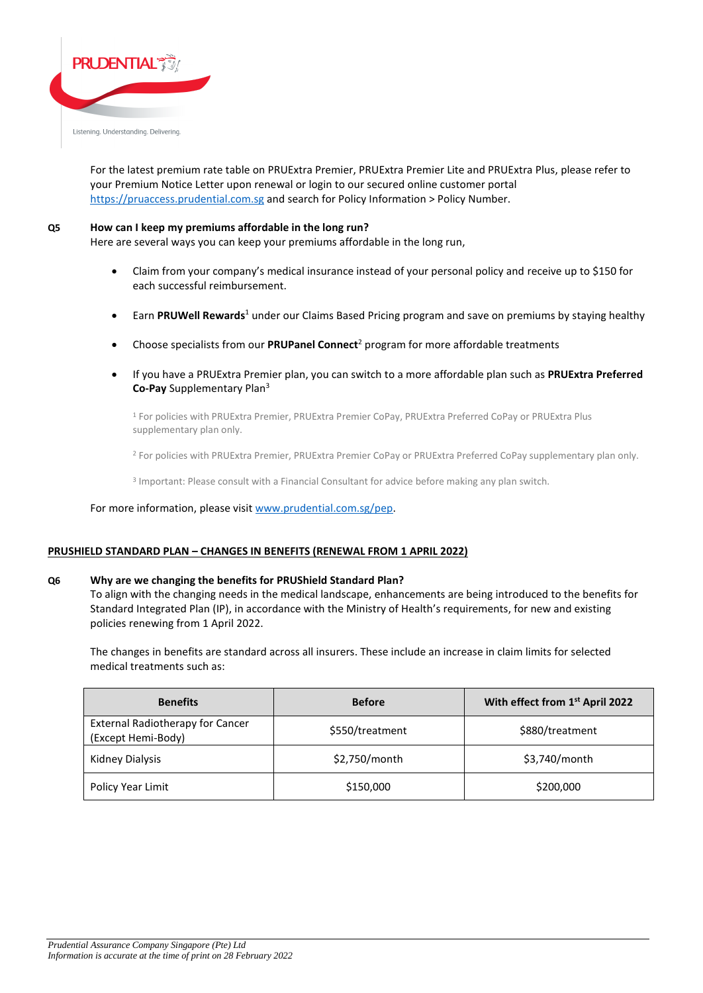

For the latest premium rate table on PRUExtra Premier, PRUExtra Premier Lite and PRUExtra Plus, please refer to your Premium Notice Letter upon renewal or login to our secured online customer portal [https://pruaccess.prudential.com.sg](https://pruaccess.prudential.com.sg/) and search for Policy Information > Policy Number.

#### **Q5 How can I keep my premiums affordable in the long run?**

Here are several ways you can keep your premiums affordable in the long run,

- Claim from your company's medical insurance instead of your personal policy and receive up to \$150 for each successful reimbursement.
- Earn **PRUWell Rewards**<sup>1</sup> under our Claims Based Pricing program and save on premiums by staying healthy
- Choose specialists from our **PRUPanel Connect**<sup>2</sup> program for more affordable treatments
- If you have a PRUExtra Premier plan, you can switch to a more affordable plan such as **PRUExtra Preferred Co-Pay** Supplementary Plan<sup>3</sup>

<sup>1</sup> For policies with PRUExtra Premier, PRUExtra Premier CoPay, PRUExtra Preferred CoPay or PRUExtra Plus supplementary plan only.

<sup>2</sup> For policies with PRUExtra Premier, PRUExtra Premier CoPay or PRUExtra Preferred CoPay supplementary plan only.

3 Important: Please consult with a Financial Consultant for advice before making any plan switch.

#### For more information, please visit [www.prudential.com.sg/pep.](http://www.prudential.com.sg/pep)

#### **PRUSHIELD STANDARD PLAN – CHANGES IN BENEFITS (RENEWAL FROM 1 APRIL 2022)**

#### **Q6 Why are we changing the benefits for PRUShield Standard Plan?**

To align with the changing needs in the medical landscape, enhancements are being introduced to the benefits for Standard Integrated Plan (IP), in accordance with the Ministry of Health's requirements, for new and existing policies renewing from 1 April 2022.

The changes in benefits are standard across all insurers. These include an increase in claim limits for selected medical treatments such as:

| <b>Benefits</b>                                               | <b>Before</b>   | With effect from 1st April 2022 |
|---------------------------------------------------------------|-----------------|---------------------------------|
| <b>External Radiotherapy for Cancer</b><br>(Except Hemi-Body) | \$550/treatment | \$880/treatment                 |
| Kidney Dialysis                                               | \$2,750/month   | \$3,740/month                   |
| Policy Year Limit                                             | \$150,000       | \$200,000                       |